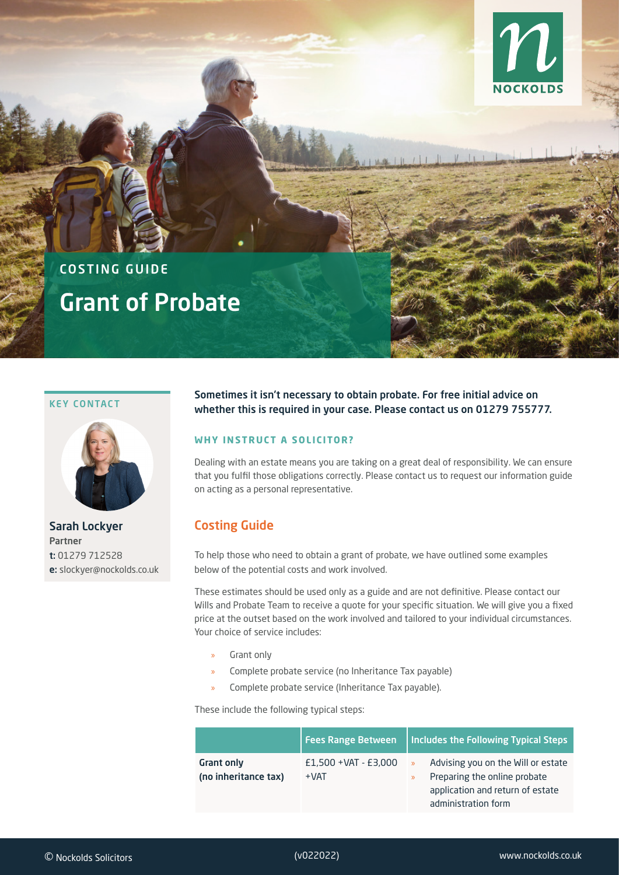

# COSTING GUIDE Grant of Probate

#### KEY CONTACT



Sarah Lockyer Partner t: 01279 712528 e: slockyer@nockolds.co.uk

Sometimes it isn't necessary to obtain probate. For free initial advice on whether this is required in your case. Please contact us on 01279 755777.

 $\left| \begin{array}{cc} 1 & 1 \end{array} \right|$ 

#### **WHY INSTRUCT A SOLICITOR?**

Dealing with an estate means you are taking on a great deal of responsibility. We can ensure that you fulfil those obligations correctly. Please contact us to request our information guide on acting as a personal representative.

#### Costing Guide

To help those who need to obtain a grant of probate, we have outlined some examples below of the potential costs and work involved.

These estimates should be used only as a guide and are not definitive. Please contact our Wills and Probate Team to receive a quote for your specific situation. We will give you a fixed price at the outset based on the work involved and tailored to your individual circumstances. Your choice of service includes:

- » Grant only
- Complete probate service (no Inheritance Tax payable)
- » Complete probate service (Inheritance Tax payable).

These include the following typical steps:

|                                           | <b>Fees Range Between</b>         | Includes the Following Typical Steps                                                                                                                            |
|-------------------------------------------|-----------------------------------|-----------------------------------------------------------------------------------------------------------------------------------------------------------------|
| <b>Grant only</b><br>(no inheritance tax) | $£1,500 + VAT - £3,000$<br>$+VAT$ | Advising you on the Will or estate<br>$\rightarrow$<br>Preparing the online probate<br>$\mathcal{D}$<br>application and return of estate<br>administration form |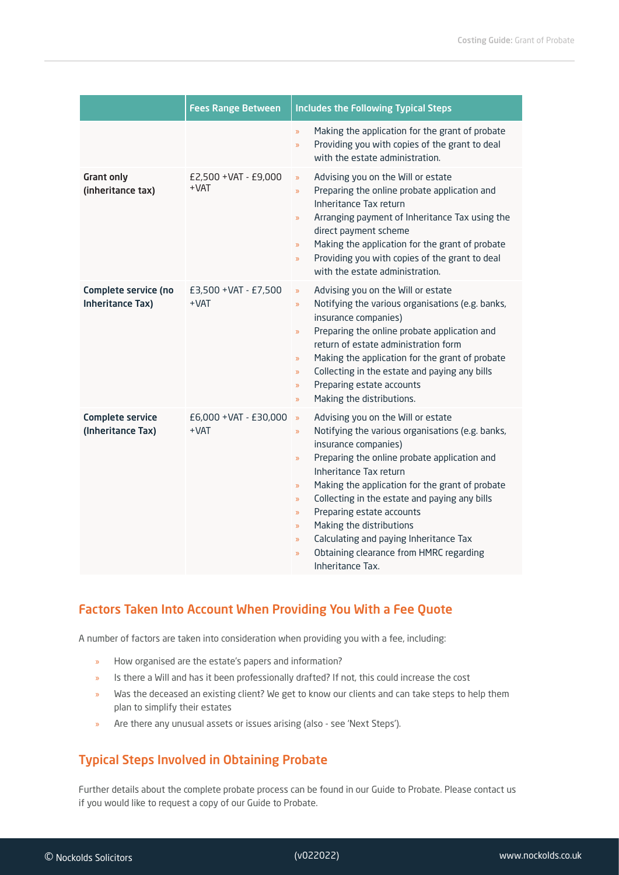|                                                 | <b>Fees Range Between</b>        | <b>Includes the Following Typical Steps</b>                                                                                                                                                                                                                                                                                                                                                                                                                                                                                                                                                                     |
|-------------------------------------------------|----------------------------------|-----------------------------------------------------------------------------------------------------------------------------------------------------------------------------------------------------------------------------------------------------------------------------------------------------------------------------------------------------------------------------------------------------------------------------------------------------------------------------------------------------------------------------------------------------------------------------------------------------------------|
|                                                 |                                  | Making the application for the grant of probate<br>$\mathbf{v}$<br>Providing you with copies of the grant to deal<br>$\mathbf{v}$<br>with the estate administration.                                                                                                                                                                                                                                                                                                                                                                                                                                            |
| <b>Grant only</b><br>(inheritance tax)          | £2,500 + VAT - £9,000<br>$+VAT$  | Advising you on the Will or estate<br>$\mathcal{D}$<br>Preparing the online probate application and<br>$\mathcal{D}$<br>Inheritance Tax return<br>Arranging payment of Inheritance Tax using the<br>$\mathcal{D}$<br>direct payment scheme<br>Making the application for the grant of probate<br>$\mathcal{D}$<br>Providing you with copies of the grant to deal<br>$\gg$<br>with the estate administration.                                                                                                                                                                                                    |
| Complete service (no<br><b>Inheritance Tax)</b> | £3,500 + VAT - £7,500<br>$+VAT$  | Advising you on the Will or estate<br>$\mathcal{D}$<br>Notifying the various organisations (e.g. banks,<br>$\mathcal{D}$<br>insurance companies)<br>Preparing the online probate application and<br>$\mathcal{D}$<br>return of estate administration form<br>Making the application for the grant of probate<br>$\mathcal{D}$<br>Collecting in the estate and paying any bills<br>$\mathcal{D}$<br>Preparing estate accounts<br>$\mathcal{D}$<br>Making the distributions.<br>$\gg$                                                                                                                             |
| <b>Complete service</b><br>(Inheritance Tax)    | £6,000 + VAT - £30,000<br>$+VAT$ | Advising you on the Will or estate<br>$\mathcal{D}$<br>Notifying the various organisations (e.g. banks,<br>$\mathcal{D}$<br>insurance companies)<br>Preparing the online probate application and<br>$\mathcal{D}$<br>Inheritance Tax return<br>Making the application for the grant of probate<br>$\mathcal{D}$<br>Collecting in the estate and paying any bills<br>$\mathcal{D}$<br>Preparing estate accounts<br>$\mathcal{D}$<br>Making the distributions<br>$\mathcal{D}$<br>Calculating and paying Inheritance Tax<br>$\mathcal{D}$<br>Obtaining clearance from HMRC regarding<br>$\gg$<br>Inheritance Tax. |

# Factors Taken Into Account When Providing You With a Fee Quote

A number of factors are taken into consideration when providing you with a fee, including:

- » How organised are the estate's papers and information?
- » Is there a Will and has it been professionally drafted? If not, this could increase the cost
- » Was the deceased an existing client? We get to know our clients and can take steps to help them plan to simplify their estates
- » Are there any unusual assets or issues arising (also see 'Next Steps').

# Typical Steps Involved in Obtaining Probate

Further details about the complete probate process can be found in our Guide to Probate. Please contact us if you would like to request a copy of our Guide to Probate.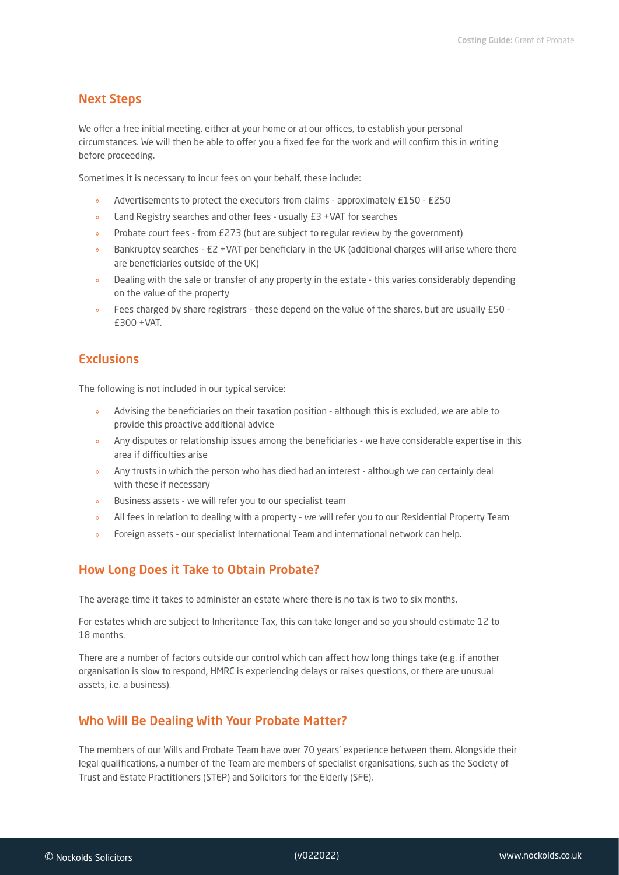#### Next Steps

We offer a free initial meeting, either at your home or at our offices, to establish your personal circumstances. We will then be able to offer you a fixed fee for the work and will confirm this in writing before proceeding.

Sometimes it is necessary to incur fees on your behalf, these include:

- » Advertisements to protect the executors from claims approximately £150 £250
- » Land Registry searches and other fees usually £3 +VAT for searches
- » Probate court fees from £273 (but are subject to regular review by the government)
- » Bankruptcy searches £2 +VAT per beneficiary in the UK (additional charges will arise where there are beneficiaries outside of the UK)
- » Dealing with the sale or transfer of any property in the estate this varies considerably depending on the value of the property
- » Fees charged by share registrars these depend on the value of the shares, but are usually £50 £300 +VAT.

#### **Exclusions**

The following is not included in our typical service:

- » Advising the beneficiaries on their taxation position although this is excluded, we are able to provide this proactive additional advice
- » Any disputes or relationship issues among the beneficiaries we have considerable expertise in this area if difficulties arise
- » Any trusts in which the person who has died had an interest although we can certainly deal with these if necessary
- Business assets we will refer you to our specialist team
- » All fees in relation to dealing with a property we will refer you to our Residential Property Team
- » Foreign assets our specialist International Team and international network can help.

#### How Long Does it Take to Obtain Probate?

The average time it takes to administer an estate where there is no tax is two to six months.

For estates which are subject to Inheritance Tax, this can take longer and so you should estimate 12 to 18 months.

There are a number of factors outside our control which can affect how long things take (e.g. if another organisation is slow to respond, HMRC is experiencing delays or raises questions, or there are unusual assets, i.e. a business).

### Who Will Be Dealing With Your Probate Matter?

The members of our Wills and Probate Team have over 70 years' experience between them. Alongside their legal qualifications, a number of the Team are members of specialist organisations, such as the Society of Trust and Estate Practitioners (STEP) and Solicitors for the Elderly (SFE).